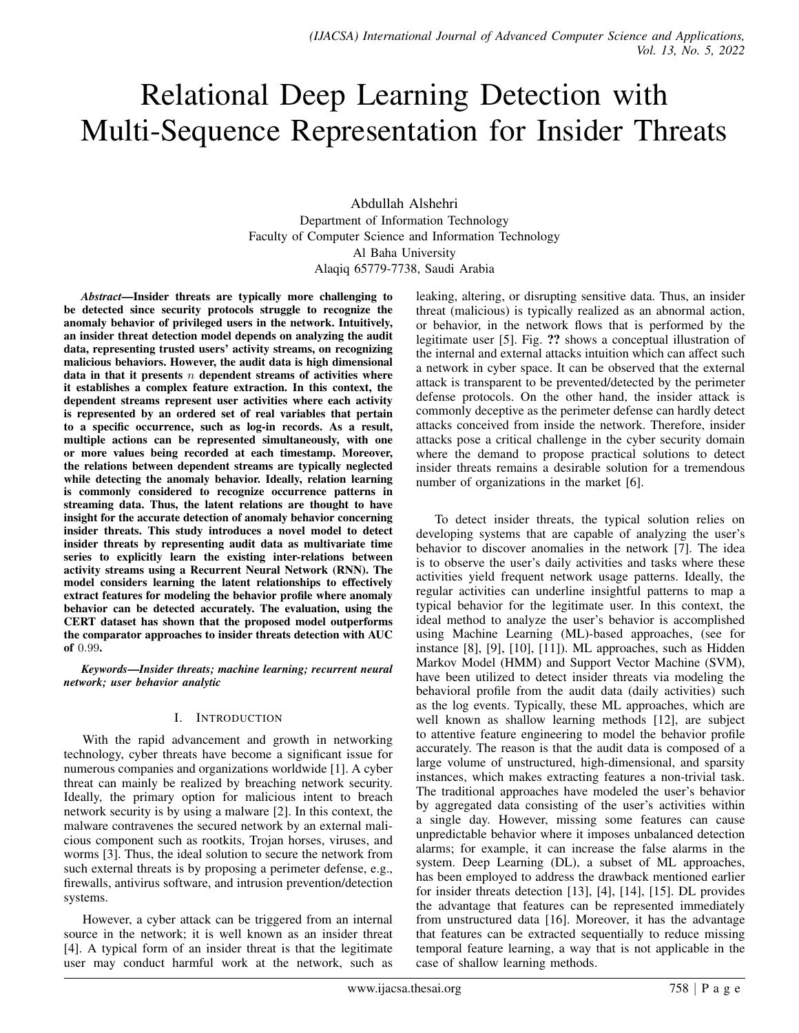# Relational Deep Learning Detection with Multi-Sequence Representation for Insider Threats

Abdullah Alshehri Department of Information Technology Faculty of Computer Science and Information Technology Al Baha University Alaqiq 65779-7738, Saudi Arabia

*Abstract*—Insider threats are typically more challenging to be detected since security protocols struggle to recognize the anomaly behavior of privileged users in the network. Intuitively, an insider threat detection model depends on analyzing the audit data, representing trusted users' activity streams, on recognizing malicious behaviors. However, the audit data is high dimensional data in that it presents  $n$  dependent streams of activities where it establishes a complex feature extraction. In this context, the dependent streams represent user activities where each activity is represented by an ordered set of real variables that pertain to a specific occurrence, such as log-in records. As a result, multiple actions can be represented simultaneously, with one or more values being recorded at each timestamp. Moreover, the relations between dependent streams are typically neglected while detecting the anomaly behavior. Ideally, relation learning is commonly considered to recognize occurrence patterns in streaming data. Thus, the latent relations are thought to have insight for the accurate detection of anomaly behavior concerning insider threats. This study introduces a novel model to detect insider threats by representing audit data as multivariate time series to explicitly learn the existing inter-relations between activity streams using a Recurrent Neural Network (RNN). The model considers learning the latent relationships to effectively extract features for modeling the behavior profile where anomaly behavior can be detected accurately. The evaluation, using the CERT dataset has shown that the proposed model outperforms the comparator approaches to insider threats detection with AUC of 0.99.

*Keywords*—*Insider threats; machine learning; recurrent neural network; user behavior analytic*

## I. INTRODUCTION

With the rapid advancement and growth in networking technology, cyber threats have become a significant issue for numerous companies and organizations worldwide [1]. A cyber threat can mainly be realized by breaching network security. Ideally, the primary option for malicious intent to breach network security is by using a malware [2]. In this context, the malware contravenes the secured network by an external malicious component such as rootkits, Trojan horses, viruses, and worms [3]. Thus, the ideal solution to secure the network from such external threats is by proposing a perimeter defense, e.g., firewalls, antivirus software, and intrusion prevention/detection systems.

However, a cyber attack can be triggered from an internal source in the network; it is well known as an insider threat [4]. A typical form of an insider threat is that the legitimate user may conduct harmful work at the network, such as leaking, altering, or disrupting sensitive data. Thus, an insider threat (malicious) is typically realized as an abnormal action, or behavior, in the network flows that is performed by the legitimate user [5]. Fig. ?? shows a conceptual illustration of the internal and external attacks intuition which can affect such a network in cyber space. It can be observed that the external attack is transparent to be prevented/detected by the perimeter defense protocols. On the other hand, the insider attack is commonly deceptive as the perimeter defense can hardly detect attacks conceived from inside the network. Therefore, insider attacks pose a critical challenge in the cyber security domain where the demand to propose practical solutions to detect insider threats remains a desirable solution for a tremendous number of organizations in the market [6].

To detect insider threats, the typical solution relies on developing systems that are capable of analyzing the user's behavior to discover anomalies in the network [7]. The idea is to observe the user's daily activities and tasks where these activities yield frequent network usage patterns. Ideally, the regular activities can underline insightful patterns to map a typical behavior for the legitimate user. In this context, the ideal method to analyze the user's behavior is accomplished using Machine Learning (ML)-based approaches, (see for instance [8], [9], [10], [11]). ML approaches, such as Hidden Markov Model (HMM) and Support Vector Machine (SVM), have been utilized to detect insider threats via modeling the behavioral profile from the audit data (daily activities) such as the log events. Typically, these ML approaches, which are well known as shallow learning methods [12], are subject to attentive feature engineering to model the behavior profile accurately. The reason is that the audit data is composed of a large volume of unstructured, high-dimensional, and sparsity instances, which makes extracting features a non-trivial task. The traditional approaches have modeled the user's behavior by aggregated data consisting of the user's activities within a single day. However, missing some features can cause unpredictable behavior where it imposes unbalanced detection alarms; for example, it can increase the false alarms in the system. Deep Learning (DL), a subset of ML approaches, has been employed to address the drawback mentioned earlier for insider threats detection [13], [4], [14], [15]. DL provides the advantage that features can be represented immediately from unstructured data [16]. Moreover, it has the advantage that features can be extracted sequentially to reduce missing temporal feature learning, a way that is not applicable in the case of shallow learning methods.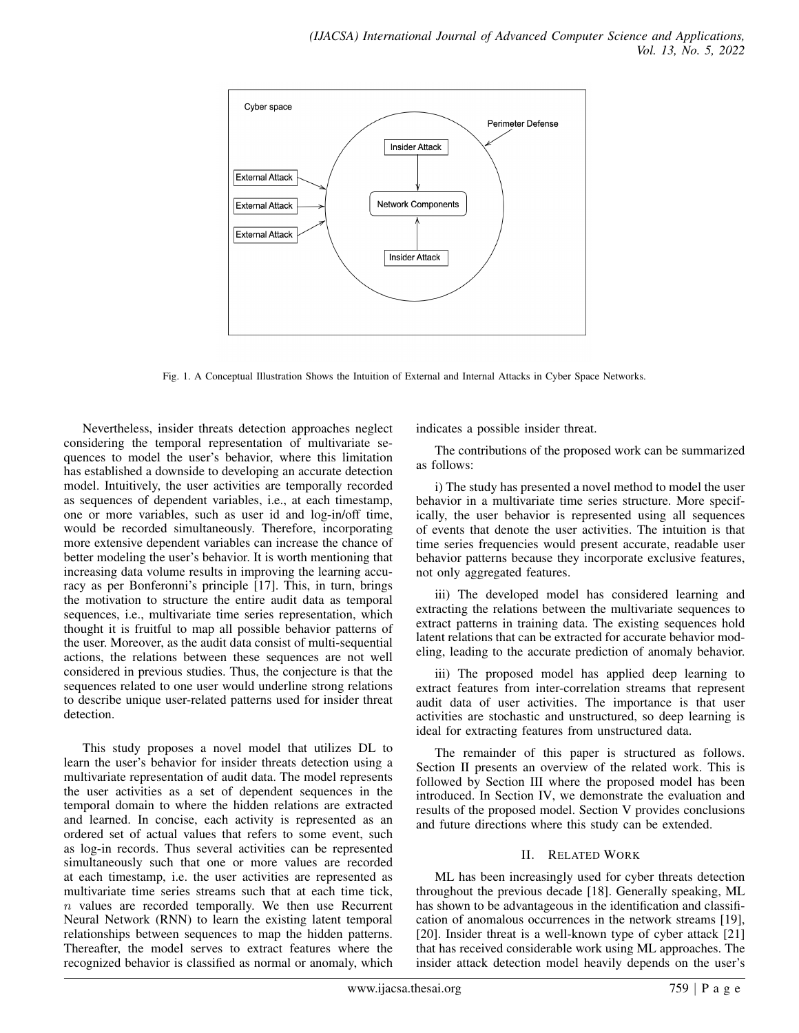

Fig. 1. A Conceptual Illustration Shows the Intuition of External and Internal Attacks in Cyber Space Networks.

Nevertheless, insider threats detection approaches neglect considering the temporal representation of multivariate sequences to model the user's behavior, where this limitation has established a downside to developing an accurate detection model. Intuitively, the user activities are temporally recorded as sequences of dependent variables, i.e., at each timestamp, one or more variables, such as user id and log-in/off time, would be recorded simultaneously. Therefore, incorporating more extensive dependent variables can increase the chance of better modeling the user's behavior. It is worth mentioning that increasing data volume results in improving the learning accuracy as per Bonferonni's principle [17]. This, in turn, brings the motivation to structure the entire audit data as temporal sequences, i.e., multivariate time series representation, which thought it is fruitful to map all possible behavior patterns of the user. Moreover, as the audit data consist of multi-sequential actions, the relations between these sequences are not well considered in previous studies. Thus, the conjecture is that the sequences related to one user would underline strong relations to describe unique user-related patterns used for insider threat detection.

This study proposes a novel model that utilizes DL to learn the user's behavior for insider threats detection using a multivariate representation of audit data. The model represents the user activities as a set of dependent sequences in the temporal domain to where the hidden relations are extracted and learned. In concise, each activity is represented as an ordered set of actual values that refers to some event, such as log-in records. Thus several activities can be represented simultaneously such that one or more values are recorded at each timestamp, i.e. the user activities are represented as multivariate time series streams such that at each time tick,  $n$  values are recorded temporally. We then use Recurrent Neural Network (RNN) to learn the existing latent temporal relationships between sequences to map the hidden patterns. Thereafter, the model serves to extract features where the recognized behavior is classified as normal or anomaly, which indicates a possible insider threat.

The contributions of the proposed work can be summarized as follows:

i) The study has presented a novel method to model the user behavior in a multivariate time series structure. More specifically, the user behavior is represented using all sequences of events that denote the user activities. The intuition is that time series frequencies would present accurate, readable user behavior patterns because they incorporate exclusive features, not only aggregated features.

iii) The developed model has considered learning and extracting the relations between the multivariate sequences to extract patterns in training data. The existing sequences hold latent relations that can be extracted for accurate behavior modeling, leading to the accurate prediction of anomaly behavior.

iii) The proposed model has applied deep learning to extract features from inter-correlation streams that represent audit data of user activities. The importance is that user activities are stochastic and unstructured, so deep learning is ideal for extracting features from unstructured data.

The remainder of this paper is structured as follows. Section II presents an overview of the related work. This is followed by Section III where the proposed model has been introduced. In Section IV, we demonstrate the evaluation and results of the proposed model. Section V provides conclusions and future directions where this study can be extended.

## II. RELATED WORK

ML has been increasingly used for cyber threats detection throughout the previous decade [18]. Generally speaking, ML has shown to be advantageous in the identification and classification of anomalous occurrences in the network streams [19], [20]. Insider threat is a well-known type of cyber attack [21] that has received considerable work using ML approaches. The insider attack detection model heavily depends on the user's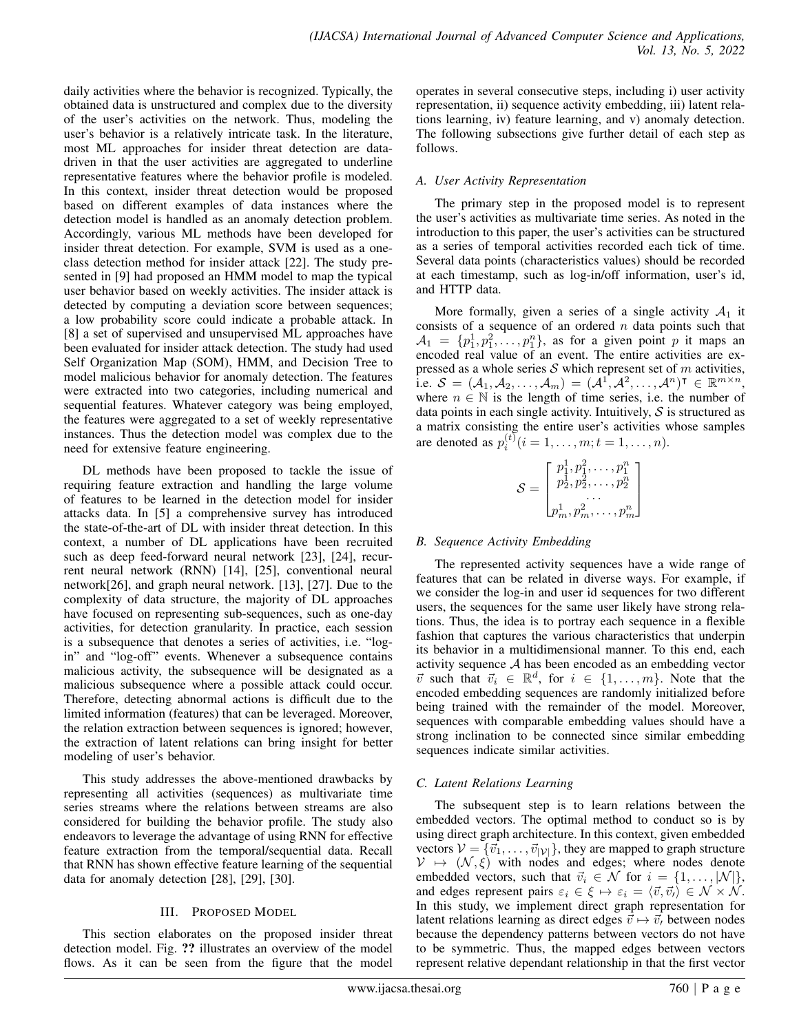daily activities where the behavior is recognized. Typically, the obtained data is unstructured and complex due to the diversity of the user's activities on the network. Thus, modeling the user's behavior is a relatively intricate task. In the literature, most ML approaches for insider threat detection are datadriven in that the user activities are aggregated to underline representative features where the behavior profile is modeled. In this context, insider threat detection would be proposed based on different examples of data instances where the detection model is handled as an anomaly detection problem. Accordingly, various ML methods have been developed for insider threat detection. For example, SVM is used as a oneclass detection method for insider attack [22]. The study presented in [9] had proposed an HMM model to map the typical user behavior based on weekly activities. The insider attack is detected by computing a deviation score between sequences; a low probability score could indicate a probable attack. In [8] a set of supervised and unsupervised ML approaches have been evaluated for insider attack detection. The study had used Self Organization Map (SOM), HMM, and Decision Tree to model malicious behavior for anomaly detection. The features were extracted into two categories, including numerical and sequential features. Whatever category was being employed, the features were aggregated to a set of weekly representative instances. Thus the detection model was complex due to the need for extensive feature engineering.

DL methods have been proposed to tackle the issue of requiring feature extraction and handling the large volume of features to be learned in the detection model for insider attacks data. In [5] a comprehensive survey has introduced the state-of-the-art of DL with insider threat detection. In this context, a number of DL applications have been recruited such as deep feed-forward neural network [23], [24], recurrent neural network (RNN) [14], [25], conventional neural network[26], and graph neural network. [13], [27]. Due to the complexity of data structure, the majority of DL approaches have focused on representing sub-sequences, such as one-day activities, for detection granularity. In practice, each session is a subsequence that denotes a series of activities, i.e. "login" and "log-off" events. Whenever a subsequence contains malicious activity, the subsequence will be designated as a malicious subsequence where a possible attack could occur. Therefore, detecting abnormal actions is difficult due to the limited information (features) that can be leveraged. Moreover, the relation extraction between sequences is ignored; however, the extraction of latent relations can bring insight for better modeling of user's behavior.

This study addresses the above-mentioned drawbacks by representing all activities (sequences) as multivariate time series streams where the relations between streams are also considered for building the behavior profile. The study also endeavors to leverage the advantage of using RNN for effective feature extraction from the temporal/sequential data. Recall that RNN has shown effective feature learning of the sequential data for anomaly detection [28], [29], [30].

## III. PROPOSED MODEL

This section elaborates on the proposed insider threat detection model. Fig. ?? illustrates an overview of the model flows. As it can be seen from the figure that the model

operates in several consecutive steps, including i) user activity representation, ii) sequence activity embedding, iii) latent relations learning, iv) feature learning, and v) anomaly detection. The following subsections give further detail of each step as follows.

## *A. User Activity Representation*

The primary step in the proposed model is to represent the user's activities as multivariate time series. As noted in the introduction to this paper, the user's activities can be structured as a series of temporal activities recorded each tick of time. Several data points (characteristics values) should be recorded at each timestamp, such as log-in/off information, user's id, and HTTP data.

More formally, given a series of a single activity  $A_1$  it consists of a sequence of an ordered  $n$  data points such that  $A_1 = \{p_1^1, p_1^2, \ldots, p_1^n\}$ , as for a given point p it maps an encoded real value of an event. The entire activities are expressed as a whole series  $S$  which represent set of m activities, i.e.  $\mathcal{S} = (\mathcal{A}_1, \mathcal{A}_2, \dots, \mathcal{A}_m) = (\mathcal{A}^1, \mathcal{A}^2, \dots, \mathcal{A}^n)^\intercal \in \mathbb{R}^{m \times n}$ , where  $n \in \mathbb{N}$  is the length of time series, i.e. the number of data points in each single activity. Intuitively,  $S$  is structured as a matrix consisting the entire user's activities whose samples are denoted as  $p_i^{(t)}$   $(i = 1, ..., m; t = 1, ..., n)$ .

$$
\mathcal{S} = \begin{bmatrix} p_1^1, p_1^2, \ldots, p_1^n \\ p_2^1, p_2^2, \ldots, p_2^n \\ \ldots \\ p_m^1, p_m^2, \ldots, p_m^n \end{bmatrix}
$$

## *B. Sequence Activity Embedding*

The represented activity sequences have a wide range of features that can be related in diverse ways. For example, if we consider the log-in and user id sequences for two different users, the sequences for the same user likely have strong relations. Thus, the idea is to portray each sequence in a flexible fashion that captures the various characteristics that underpin its behavior in a multidimensional manner. To this end, each activity sequence A has been encoded as an embedding vector  $\vec{v}$  such that  $\vec{v}_i \in \mathbb{R}^d$ , for  $i \in \{1, \ldots, m\}$ . Note that the encoded embedding sequences are randomly initialized before being trained with the remainder of the model. Moreover, sequences with comparable embedding values should have a strong inclination to be connected since similar embedding sequences indicate similar activities.

## *C. Latent Relations Learning*

The subsequent step is to learn relations between the embedded vectors. The optimal method to conduct so is by using direct graph architecture. In this context, given embedded vectors  $V = {\vec{v}_1, \dots, \vec{v}_{|\mathcal{V}|}}$ , they are mapped to graph structure  $V \mapsto (\mathcal{N}, \xi)$  with nodes and edges; where nodes denote embedded vectors, such that  $\vec{v}_i \in \mathcal{N}$  for  $i = \{1, \ldots, |\mathcal{N}|\},$ and edges represent pairs  $\varepsilon_i \in \xi \mapsto \varepsilon_i = \langle \vec{v}, \vec{v} \rangle \in \mathcal{N} \times \mathcal{N}$ . In this study, we implement direct graph representation for latent relations learning as direct edges  $\vec{v} \mapsto \vec{v}$ , between nodes because the dependency patterns between vectors do not have to be symmetric. Thus, the mapped edges between vectors represent relative dependant relationship in that the first vector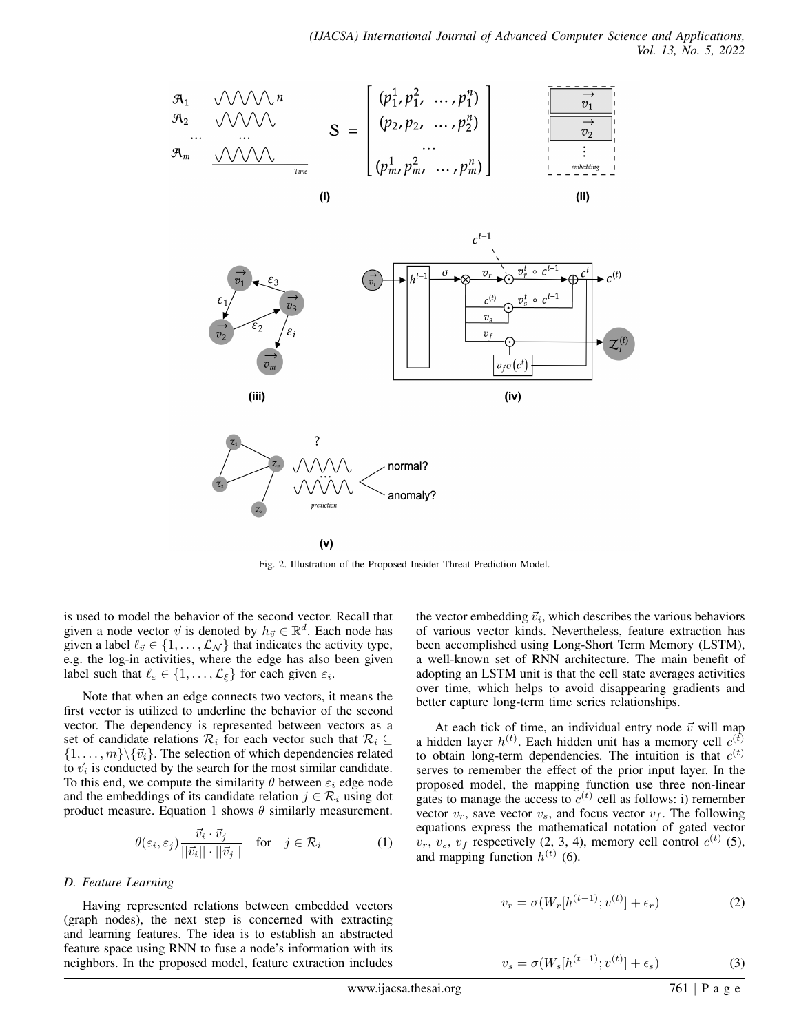

Fig. 2. Illustration of the Proposed Insider Threat Prediction Model.

is used to model the behavior of the second vector. Recall that given a node vector  $\vec{v}$  is denoted by  $h_{\vec{v}} \in \mathbb{R}^d$ . Each node has given a label  $\ell_{\vec{v}} \in \{1, \ldots, L_N\}$  that indicates the activity type, e.g. the log-in activities, where the edge has also been given label such that  $\ell_{\varepsilon} \in \{1, \ldots, L_{\xi}\}\$  for each given  $\varepsilon_i$ .

Note that when an edge connects two vectors, it means the first vector is utilized to underline the behavior of the second vector. The dependency is represented between vectors as a set of candidate relations  $\mathcal{R}_i$  for each vector such that  $\mathcal{R}_i \subseteq$  $\{1, \ldots, m\} \backslash \{\vec{v}_i\}.$  The selection of which dependencies related to  $\vec{v}_i$  is conducted by the search for the most similar candidate. To this end, we compute the similarity  $\theta$  between  $\varepsilon_i$  edge node and the embeddings of its candidate relation  $j \in \mathcal{R}_i$  using dot product measure. Equation 1 shows  $\theta$  similarly measurement.

$$
\theta(\varepsilon_i, \varepsilon_j) \frac{\vec{v}_i \cdot \vec{v}_j}{||\vec{v}_i|| \cdot ||\vec{v}_j||} \quad \text{for} \quad j \in \mathcal{R}_i \tag{1}
$$

#### *D. Feature Learning*

Having represented relations between embedded vectors (graph nodes), the next step is concerned with extracting and learning features. The idea is to establish an abstracted feature space using RNN to fuse a node's information with its neighbors. In the proposed model, feature extraction includes

the vector embedding  $\vec{v}_i$ , which describes the various behaviors of various vector kinds. Nevertheless, feature extraction has been accomplished using Long-Short Term Memory (LSTM), a well-known set of RNN architecture. The main benefit of adopting an LSTM unit is that the cell state averages activities over time, which helps to avoid disappearing gradients and better capture long-term time series relationships.

At each tick of time, an individual entry node  $\vec{v}$  will map a hidden layer  $h^{(t)}$ . Each hidden unit has a memory cell  $c^{(t)}$ to obtain long-term dependencies. The intuition is that  $c^{(t)}$ serves to remember the effect of the prior input layer. In the proposed model, the mapping function use three non-linear gates to manage the access to  $c^{(t)}$  cell as follows: i) remember vector  $v_r$ , save vector  $v_s$ , and focus vector  $v_f$ . The following equations express the mathematical notation of gated vector  $v_r$ ,  $v_s$ ,  $v_f$  respectively (2, 3, 4), memory cell control  $c^{(t)}$  (5), and mapping function  $h^{(t)}$  (6).

$$
v_r = \sigma(W_r[h^{(t-1)}; v^{(t)}] + \epsilon_r)
$$
 (2)

$$
v_s = \sigma(W_s[h^{(t-1)}; v^{(t)}] + \epsilon_s)
$$
\n(3)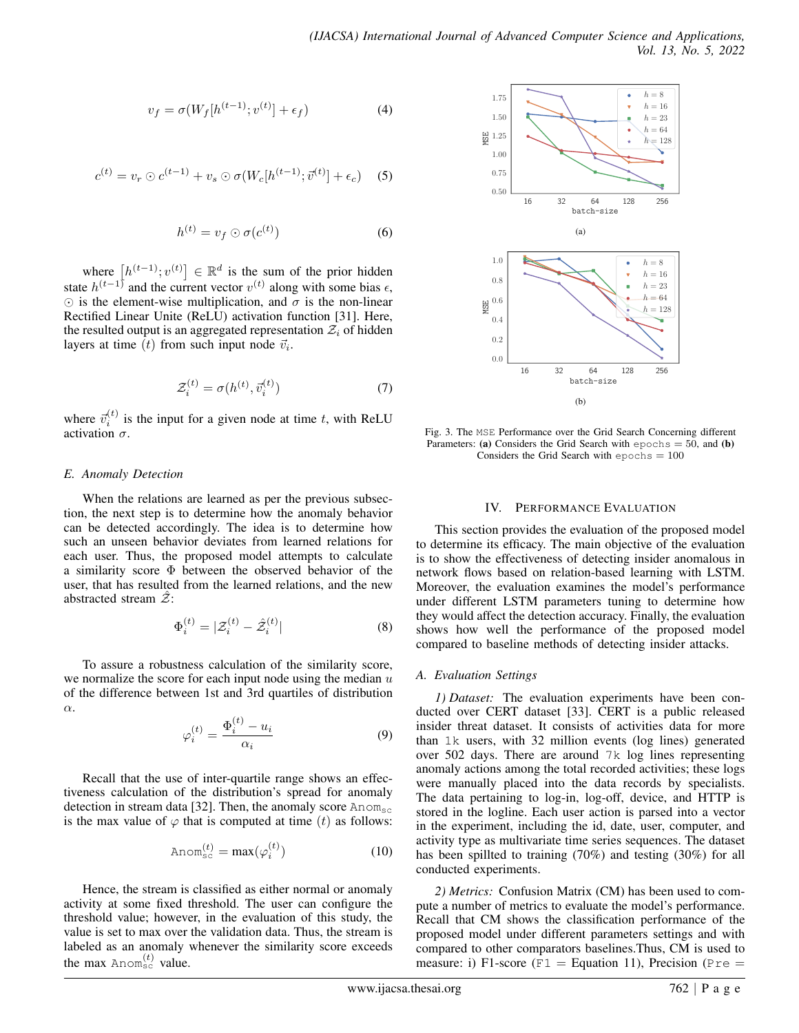$$
v_f = \sigma(W_f[h^{(t-1)}; v^{(t)}] + \epsilon_f)
$$
\n<sup>(4)</sup>

$$
c^{(t)} = v_r \odot c^{(t-1)} + v_s \odot \sigma(W_c[h^{(t-1)}; \vec{v}^{(t)}] + \epsilon_c)
$$
 (5)

$$
h^{(t)} = v_f \odot \sigma(c^{(t)}) \tag{6}
$$

where  $[h^{(t-1)}; v^{(t)}] \in \mathbb{R}^d$  is the sum of the prior hidden state  $h^{(t-1)}$  and the current vector  $v^{(t)}$  along with some bias  $\epsilon$ ,  $\odot$  is the element-wise multiplication, and  $\sigma$  is the non-linear Rectified Linear Unite (ReLU) activation function [31]. Here, the resulted output is an aggregated representation  $\mathcal{Z}_i$  of hidden layers at time (t) from such input node  $\vec{v}_i$ .

$$
\mathcal{Z}_i^{(t)} = \sigma(h^{(t)}, \vec{v}_i^{(t)})\tag{7}
$$

where  $\vec{v}_i^{(t)}$  is the input for a given node at time t, with ReLU activation  $\sigma$ .

#### *E. Anomaly Detection*

When the relations are learned as per the previous subsection, the next step is to determine how the anomaly behavior can be detected accordingly. The idea is to determine how such an unseen behavior deviates from learned relations for each user. Thus, the proposed model attempts to calculate a similarity score Φ between the observed behavior of the user, that has resulted from the learned relations, and the new abstracted stream  $\mathcal{Z}$ :

$$
\Phi_i^{(t)} = |\mathcal{Z}_i^{(t)} - \hat{\mathcal{Z}}_i^{(t)}| \tag{8}
$$

To assure a robustness calculation of the similarity score, we normalize the score for each input node using the median  $u$ of the difference between 1st and 3rd quartiles of distribution α.  $(1)$ 

$$
\varphi_i^{(t)} = \frac{\Phi_i^{(t)} - u_i}{\alpha_i} \tag{9}
$$

Recall that the use of inter-quartile range shows an effectiveness calculation of the distribution's spread for anomaly detection in stream data [32]. Then, the anomaly score  $\text{Anom}_{\text{sc}}$ is the max value of  $\varphi$  that is computed at time (t) as follows:

$$
\text{Anom}_{\text{sc}}^{(t)} = \max(\varphi_i^{(t)})\tag{10}
$$

Hence, the stream is classified as either normal or anomaly activity at some fixed threshold. The user can configure the threshold value; however, in the evaluation of this study, the value is set to max over the validation data. Thus, the stream is labeled as an anomaly whenever the similarity score exceeds the max Anom<sup>(t)</sup> value.



Fig. 3. The MSE Performance over the Grid Search Concerning different Parameters: (a) Considers the Grid Search with epochs =  $50$ , and (b) Considers the Grid Search with  $\epsilon$  pochs = 100

#### IV. PERFORMANCE EVALUATION

This section provides the evaluation of the proposed model to determine its efficacy. The main objective of the evaluation is to show the effectiveness of detecting insider anomalous in network flows based on relation-based learning with LSTM. Moreover, the evaluation examines the model's performance under different LSTM parameters tuning to determine how they would affect the detection accuracy. Finally, the evaluation shows how well the performance of the proposed model compared to baseline methods of detecting insider attacks.

#### *A. Evaluation Settings*

*1) Dataset:* The evaluation experiments have been conducted over CERT dataset [33]. CERT is a public released insider threat dataset. It consists of activities data for more than 1k users, with 32 million events (log lines) generated over 502 days. There are around 7k log lines representing anomaly actions among the total recorded activities; these logs were manually placed into the data records by specialists. The data pertaining to log-in, log-off, device, and HTTP is stored in the logline. Each user action is parsed into a vector in the experiment, including the id, date, user, computer, and activity type as multivariate time series sequences. The dataset has been spillted to training (70%) and testing (30%) for all conducted experiments.

*2) Metrics:* Confusion Matrix (CM) has been used to compute a number of metrics to evaluate the model's performance. Recall that CM shows the classification performance of the proposed model under different parameters settings and with compared to other comparators baselines.Thus, CM is used to measure: i) F1-score (F1 = Equation 11), Precision (Pre =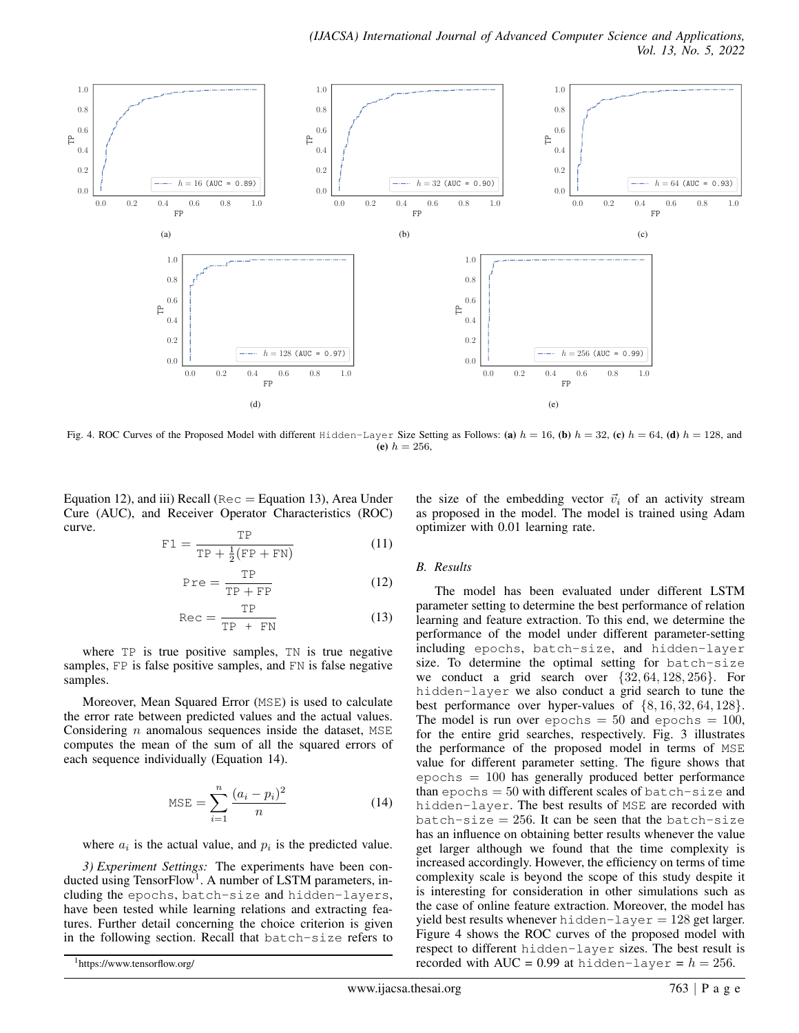

Fig. 4. ROC Curves of the Proposed Model with different Hidden-Layer Size Setting as Follows: (a)  $h = 16$ , (b)  $h = 32$ , (c)  $h = 64$ , (d)  $h = 128$ , and (e)  $h = 256$ ,

Equation 12), and iii) Recall (Rec  $=$  Equation 13), Area Under Cure (AUC), and Receiver Operator Characteristics (ROC) curve.

$$
\text{F1} = \frac{\text{TP}}{\text{TP} + \frac{1}{2}(\text{FP} + \text{FN})}
$$
(11)

$$
Pre = \frac{TP}{TP + FP}
$$
 (12)

$$
Rec = \frac{TP}{TP + FN}
$$
 (13)

where TP is true positive samples, TN is true negative samples, FP is false positive samples, and FN is false negative samples.

Moreover, Mean Squared Error (MSE) is used to calculate the error rate between predicted values and the actual values. Considering  $n$  anomalous sequences inside the dataset, MSE computes the mean of the sum of all the squared errors of each sequence individually (Equation 14).

MSE = 
$$
\sum_{i=1}^{n} \frac{(a_i - p_i)^2}{n}
$$
 (14)

where  $a_i$  is the actual value, and  $p_i$  is the predicted value.

*3) Experiment Settings:* The experiments have been conducted using TensorFlow<sup>1</sup>. A number of LSTM parameters, including the epochs, batch-size and hidden-layers, have been tested while learning relations and extracting features. Further detail concerning the choice criterion is given in the following section. Recall that batch-size refers to the size of the embedding vector  $\vec{v}_i$  of an activity stream as proposed in the model. The model is trained using Adam optimizer with 0.01 learning rate.

#### *B. Results*

The model has been evaluated under different LSTM parameter setting to determine the best performance of relation learning and feature extraction. To this end, we determine the performance of the model under different parameter-setting including epochs, batch-size, and hidden-layer size. To determine the optimal setting for batch-size we conduct a grid search over  $\{32, 64, 128, 256\}$ . For hidden-layer we also conduct a grid search to tune the best performance over hyper-values of {8, 16, 32, 64, 128}. The model is run over epochs  $= 50$  and epochs  $= 100$ , for the entire grid searches, respectively. Fig. 3 illustrates the performance of the proposed model in terms of MSE value for different parameter setting. The figure shows that  $\epsilon$  epochs  $= 100$  has generally produced better performance than epochs  $= 50$  with different scales of batch-size and hidden-layer. The best results of MSE are recorded with batch-size  $= 256$ . It can be seen that the batch-size has an influence on obtaining better results whenever the value get larger although we found that the time complexity is increased accordingly. However, the efficiency on terms of time complexity scale is beyond the scope of this study despite it is interesting for consideration in other simulations such as the case of online feature extraction. Moreover, the model has yield best results whenever hidden-layer =  $128$  get larger. Figure 4 shows the ROC curves of the proposed model with respect to different hidden-layer sizes. The best result is recorded with AUC = 0.99 at hidden-layer =  $h = 256$ .

<sup>1</sup>https://www.tensorflow.org/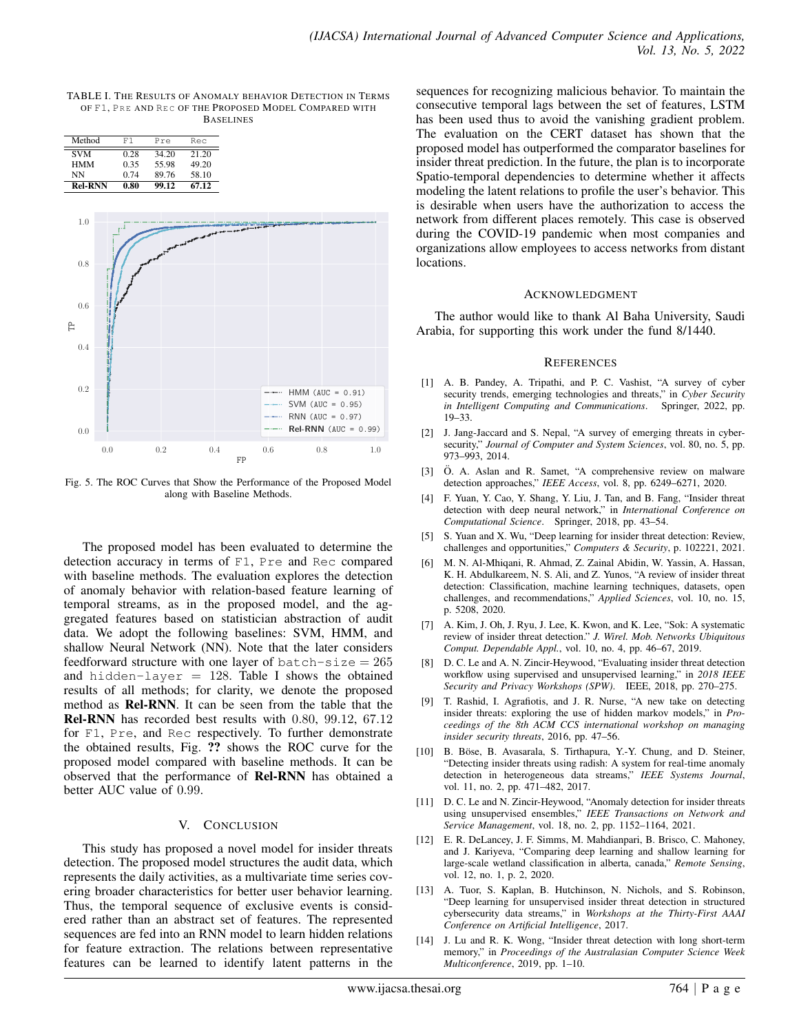TABLE I. THE RESULTS OF ANOMALY BEHAVIOR DETECTION IN TERMS OF F1, PRE AND REC OF THE PROPOSED MODEL COMPARED WITH **BASELINES** 

| Method         | F1   | Pre   | Rec   |
|----------------|------|-------|-------|
| <b>SVM</b>     | 0.28 | 34.20 | 21.20 |
| <b>HMM</b>     | 0.35 | 55.98 | 49.20 |
| NN             | 0.74 | 89.76 | 58.10 |
| <b>Rel-RNN</b> | 0.80 | 99.12 | 67.12 |



Fig. 5. The ROC Curves that Show the Performance of the Proposed Model along with Baseline Methods.

The proposed model has been evaluated to determine the detection accuracy in terms of F1, Pre and Rec compared with baseline methods. The evaluation explores the detection of anomaly behavior with relation-based feature learning of temporal streams, as in the proposed model, and the aggregated features based on statistician abstraction of audit data. We adopt the following baselines: SVM, HMM, and shallow Neural Network (NN). Note that the later considers feedforward structure with one layer of  $batch-size = 265$ and hidden-layer  $= 128$ . Table I shows the obtained results of all methods; for clarity, we denote the proposed method as Rel-RNN. It can be seen from the table that the Rel-RNN has recorded best results with 0.80, 99.12, 67.12 for F1, Pre, and Rec respectively. To further demonstrate the obtained results, Fig. ?? shows the ROC curve for the proposed model compared with baseline methods. It can be observed that the performance of Rel-RNN has obtained a better AUC value of 0.99.

### V. CONCLUSION

This study has proposed a novel model for insider threats detection. The proposed model structures the audit data, which represents the daily activities, as a multivariate time series covering broader characteristics for better user behavior learning. Thus, the temporal sequence of exclusive events is considered rather than an abstract set of features. The represented sequences are fed into an RNN model to learn hidden relations for feature extraction. The relations between representative features can be learned to identify latent patterns in the

sequences for recognizing malicious behavior. To maintain the consecutive temporal lags between the set of features, LSTM has been used thus to avoid the vanishing gradient problem. The evaluation on the CERT dataset has shown that the proposed model has outperformed the comparator baselines for insider threat prediction. In the future, the plan is to incorporate Spatio-temporal dependencies to determine whether it affects modeling the latent relations to profile the user's behavior. This is desirable when users have the authorization to access the network from different places remotely. This case is observed during the COVID-19 pandemic when most companies and organizations allow employees to access networks from distant locations.

#### ACKNOWLEDGMENT

The author would like to thank Al Baha University, Saudi Arabia, for supporting this work under the fund 8/1440.

#### **REFERENCES**

- [1] A. B. Pandey, A. Tripathi, and P. C. Vashist, "A survey of cyber security trends, emerging technologies and threats," in *Cyber Security in Intelligent Computing and Communications*. Springer, 2022, pp. 19–33.
- [2] J. Jang-Jaccard and S. Nepal, "A survey of emerging threats in cybersecurity," *Journal of Computer and System Sciences*, vol. 80, no. 5, pp. 973–993, 2014.
- [3] Ö. A. Aslan and R. Samet, "A comprehensive review on malware detection approaches," *IEEE Access*, vol. 8, pp. 6249–6271, 2020.
- [4] F. Yuan, Y. Cao, Y. Shang, Y. Liu, J. Tan, and B. Fang, "Insider threat detection with deep neural network," in *International Conference on Computational Science*. Springer, 2018, pp. 43–54.
- [5] S. Yuan and X. Wu, "Deep learning for insider threat detection: Review, challenges and opportunities," *Computers & Security*, p. 102221, 2021.
- [6] M. N. Al-Mhiqani, R. Ahmad, Z. Zainal Abidin, W. Yassin, A. Hassan, K. H. Abdulkareem, N. S. Ali, and Z. Yunos, "A review of insider threat detection: Classification, machine learning techniques, datasets, open challenges, and recommendations," *Applied Sciences*, vol. 10, no. 15, p. 5208, 2020.
- [7] A. Kim, J. Oh, J. Ryu, J. Lee, K. Kwon, and K. Lee, "Sok: A systematic review of insider threat detection." *J. Wirel. Mob. Networks Ubiquitous Comput. Dependable Appl.*, vol. 10, no. 4, pp. 46–67, 2019.
- [8] D. C. Le and A. N. Zincir-Heywood, "Evaluating insider threat detection workflow using supervised and unsupervised learning," in *2018 IEEE Security and Privacy Workshops (SPW)*. IEEE, 2018, pp. 270–275.
- [9] T. Rashid, I. Agrafiotis, and J. R. Nurse, "A new take on detecting insider threats: exploring the use of hidden markov models," in *Proceedings of the 8th ACM CCS international workshop on managing insider security threats*, 2016, pp. 47–56.
- [10] B. Böse, B. Avasarala, S. Tirthapura, Y.-Y. Chung, and D. Steiner, "Detecting insider threats using radish: A system for real-time anomaly detection in heterogeneous data streams," *IEEE Systems Journal*, vol. 11, no. 2, pp. 471–482, 2017.
- [11] D. C. Le and N. Zincir-Heywood, "Anomaly detection for insider threats using unsupervised ensembles," *IEEE Transactions on Network and Service Management*, vol. 18, no. 2, pp. 1152–1164, 2021.
- [12] E. R. DeLancey, J. F. Simms, M. Mahdianpari, B. Brisco, C. Mahoney, and J. Kariyeva, "Comparing deep learning and shallow learning for large-scale wetland classification in alberta, canada," *Remote Sensing*, vol. 12, no. 1, p. 2, 2020.
- [13] A. Tuor, S. Kaplan, B. Hutchinson, N. Nichols, and S. Robinson, "Deep learning for unsupervised insider threat detection in structured cybersecurity data streams," in *Workshops at the Thirty-First AAAI Conference on Artificial Intelligence*, 2017.
- [14] J. Lu and R. K. Wong, "Insider threat detection with long short-term memory," in *Proceedings of the Australasian Computer Science Week Multiconference*, 2019, pp. 1–10.